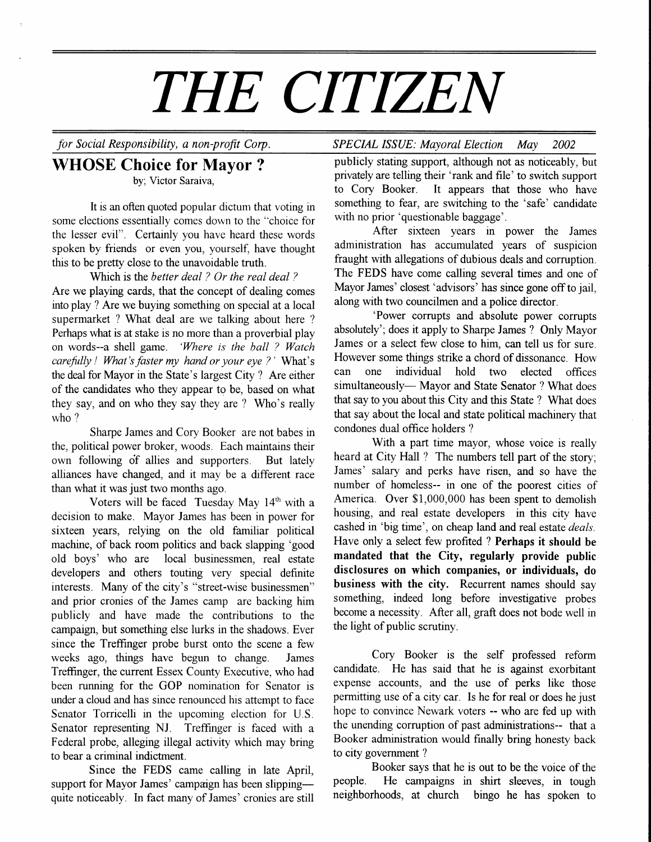# THE CITIZEN

## WHOSE Choice for Mayor ? by; Victor Saraiva,

It is an often quoted popular dictum that voting in some elections essentially comes down to the "choice for the lesser evil". Certainly you have heard these words spoken by friends or even you, yourself, have thought this to be pretty close to the unavoidable truth.

Which is the better deal ? Or the real deal ? Are we playing cards, that the concept of dealing comes urto play ? Are we buying something on special at a local supermarket ? What deal are we talking about here ? Perhaps what is at stake is no more than a proverbial play on words--a shell game. 'Where is the ball ? Watch carefully ! What's faster my hand or your eye ?' What's the deal for Mayor in the State's largest City ? Are either of the candidates who they appear to be, based on what they say, and on who they say they are ? Who's really who?

Sharpe James and Cory Booker are not babes in the, political power broker, woods. Each maintains their own following of allies and supporters. But lately alliances have changed, and it may be a different race than what it was just two months ago.

Voters will be faced Tuesday May 14<sup>th</sup> with a decision to make. Mayor James has been in power for sixteen years, relying on the old familiar political machine, of back room politics and back slapping 'good old boys' who are local businessmen, real estate developers and others touting very special definite interests. Many of the city's "street-wise businessmen" and prior cronies of the James camp are backing him publicly and have made the contributions to the campaign, but something else lurks in the shadows. Ever since the Treffinger probe burst onto the scene a few weeks ago, things have begun to change. James Treffinger, the current Essex County Executive, who had been running for the GOP nomination for Senator is under a cloud and has since renounced his attempt to face Senator Torricelli in the upcoming election for U.S Senator representing NJ. Treffinger is faced with a Federal probe, alleging illegal activity which may bring to bear a criminal indictment.

Since the FEDS came calling in late April, support for Mayor James' campaign has been slippingquite noticeably. In fact many of James'cronies are still

# for Social Responsibiliry, a non-profit Corp. SPECIAL ISSUE: Mayoral Election May 2002

publicly stating support, although not as noticeably, but privately are telling their 'rank and file' to switch support to Cory Booker. It appears that those who have something to fear, are switching to the 'safe' candidate with no prior 'questionable baggage'.

After sixteen years in power the James administration has accumulated years of suspicion fraught with allegations of dubious deals and corruption. The FEDS have come calling several times and one of Mayor James' closest 'advisors' has since gone off to jail, along with two councilmen and a police director.

'Power corrupts and absolute power corrupts absolutely'; does it apply to Sharpe James ? Only Mayor James or a select few close to him, can tell us for sure. However some things strike a chord of dissonance. How can one individual hold two elected offices simultaneously-- Mayor and State Senator ? What does that say to you about this City and this State ? What does that say about the local and state political machinery that condones dual office holders ?

With a part time mayor, whose voice is really heard at City Hall ? The numbers tell part of the story; James' salary and perks have risen, and so have the number of homeless-- in one of the poorest cities of America. Over \$1,000,000 has been spent to demolish housing, and real estate developers in this city have cashed in 'big time', on cheap land and real estate deals. Have only a select few profited ? Perhaps it should be mandated that the City, regularly provide public disclosures on which companies, or individuals, do business with the city. Recurrent names should say something, indeed long before investigative probes become a necessity. After all, graft does not bode well in the light of public scrutiny.

Cory Booker is the self professed reform candidate. He has said that he is against exorbitant expense accounts, and the use of perks like those permitting use of a city car. Is he for real or does he just hope to convince Newark voters -- who are fed up with the unending corruption of past administrations-- that a Booker administration would finally bring honesty back to city government ?

Booker says that he is out to be the voice of the people. He campaigns in shirt sleeves, in tough neighborhoods, at church bingo he has spoken to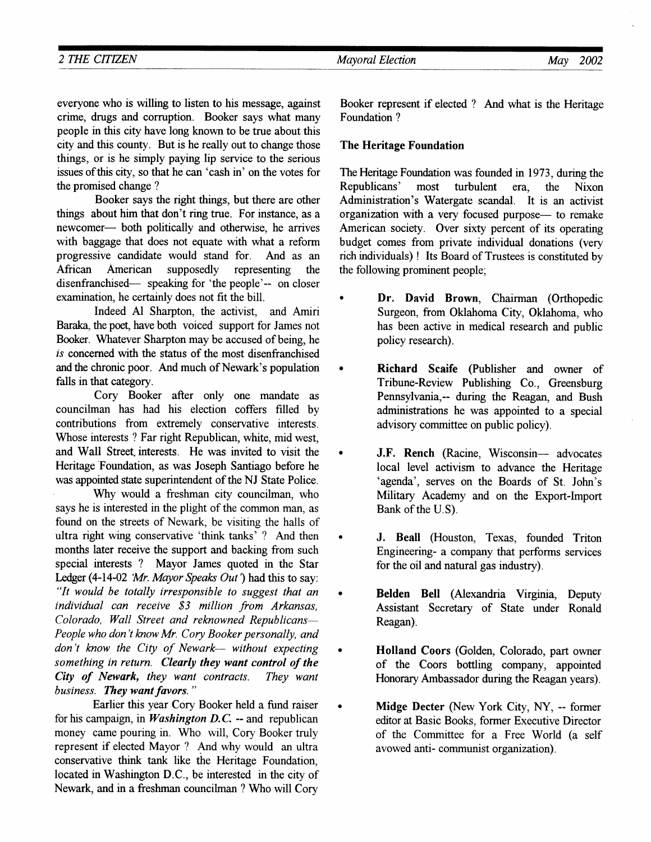| <b>CITIZEN</b><br>2 THE<br>________ | Election<br>Mayoral | <b>May</b> | 2002 |
|-------------------------------------|---------------------|------------|------|
|                                     |                     | _______    |      |

everyone who is willing to listen to his message, against crime, drugs and corruption. Booker says what many people in this city have long known to be true about this city and this county. But is he really out to change those things, or is he simply paying lip service to the serious issues of this city, so that he can 'cash in' on the votes for the promised change ?

Booker says the right things, but there are other things about him that don't ring true. For instance, as a newcomer— both politically and otherwise, he arrives with baggage that does not equate with what a reform progressive candidate would stand for. And as an African American supposedly representing the disenfranchised— speaking for 'the people'-- on closer examination, he certainly does not fit the bill.

Indeed Al Sharpton, the activist, and Amiri Baraka, the poet, have both voiced support for James not Booker. Whatever Sharpton may be accused of being, he is concerned with the status of the most disenfranchised and the chronic poor. And much of Newark's population falls in that category.

Cory Booker after only one mandate as councilman has had his election coffers filled by contributions from extremely conservative interests. Whose interests ? Far right Republican, white, mid west, and Wall Street interests. He was invited to visit the Heritage'Foundation, as was Joseph Santiago before he was appointed state superintendent of the NJ State Police.

Why would a freshman city councilman, who says he is interested in the plight of the common man, as found on the streets of Newark, be visiting the halls of ultra right wing conservative 'think tanks' ? And then months later receive the support and backing from such special interests ? Mayor James quoted in the Star Ledger (4-14-02 'Mr. Mayor Speaks Out') had this to say: "It would be totally irresponsible to suggest that an  $individual$  can receive  $$3$  million from Arkansas, Colorado, Wall Street and reknowned Republicans-People who don't know Mr. Cory Booker personally, and don't know the City of Newark- without expecting something in return. Clearly they want control of the City of Newark, they want contracts. They want business. They want favors."

Earlier this year Cory Booker held a fund raiser for his campaign, in *Washington D.C.* -- and republican money came pouring in. Who will, Cory Booker truly represent if elected Mayor ? And why would an ultra conservative think tank like the Heritage Foundation, located in Washington D.C., be interested in the city of Newark, and in a freshman councilman ? Who will Cory

Booker represent if elected ? And what is the Heritage Foundation ?

### The Heritage Foundation

The Heritage Foundation was founded in 1973, during the Republicans' most furbulent era, the Nixon Administration's Watergate scandal. It is an activist organization with a very focused purpose- to remake American society. Over sixty percent of its operating budget comes from private individual donations (very rich individuals) ! Its Board of Trustees is constituted by the following prominent people;

- Dr. David Brown, Chairman (Orthopedic Surgeon, from Oklahoma City, Oklahoma, who has been active in medical research and public policy research).
- Richard Scaife (Publisher and owner of Tribune-Review Publishing Co., Greensburg Pennsylvania,-- during the Reagan, and Bush administrations he was appointed to a special advisory committee on public policy).
- J.F. Rench (Racine, Wisconsin- advocates local level activism to advance the Heritage 'agenda', serves on the Boards of St. John's Military Academy and on the Export-Import Bank of the U.S).
- J. Beall (Houston, Texas, founded Triton Engineering- a company that performs services for the oil and natural gas industry).
- o Belden Bell (Alexandria Virginia, Deputy Assistant Secretary of State under Ronald Reagan).
- **Holland Coors (Golden, Colorado, part owner** of the Coors bottling company, appointed Honorary Ambassador during the Reagan years).
- Midge Decter (New York City, NY, -- former editor at Basic Books, former Executive Director of the Committee for a Free World (a self avowed anti- communist organization).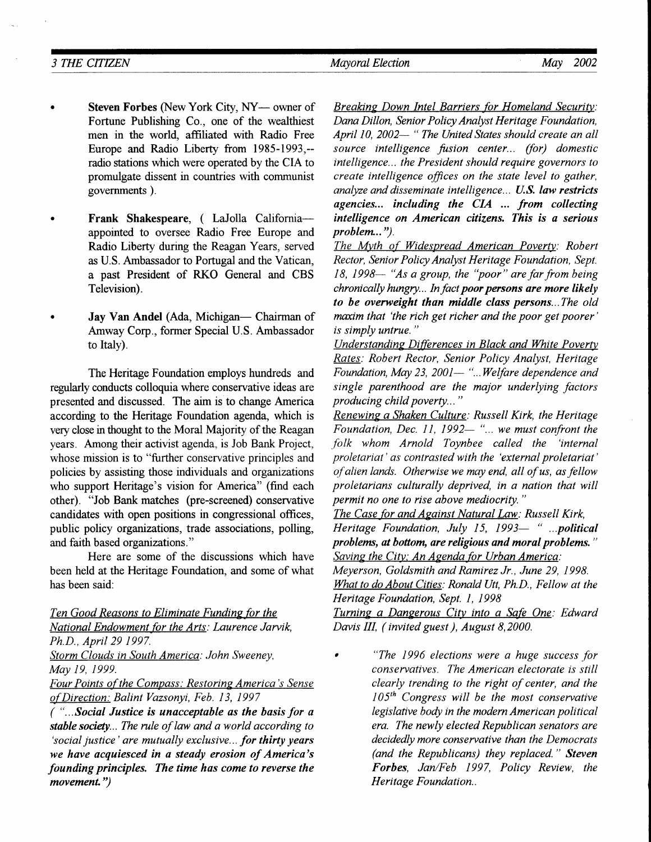- Steven Forbes (New York City, NY- owner of Fortune Publishing Co., one of the wealthiest men in the world, affiliated with Radio Free Europe and Radio Liberty from 1985-1993,- radio stations which were operated by the CIA to promulgate dissent in countries with communist governments ).
- Frank Shakespeare, ( LaJolla Californiaappointed to oversee Radio Free Europe and Radio Liberfy dunng the Reagan Years, served as U.S. Ambassador to Portugal and the Vatican, a past President of RKO General and CBS Television).
- Jay Van Andel (Ada, Michigan- Chairman of Amway Corp., former Special U.S. Ambassador to ltaly).

The Heritage Foundation employs hundreds and regularly conducts colloquia where conservative ideas are presented and discussed. The aim is to change America according to the Hentage Foundation agenda, which is very close in thought to the Moral Majority of the Reagan years. Among their activist agenda, is Job Bank Project. whose mission is to "further conservative principles and policies by assisting those individuals and organizations who support Heritage's vision for America" (find each other). "Job Bank matches (pre-screened) conservative candidates with open positions in congressional offices, public policy organizations, trade associations, polling, and faith based organizations."

Here are some of the discussions which have been held at the Heritage Foundation, and some of what has been said:

Ten Good Reasons to Eliminate Funding for the National Endowment for the Arts: Laurence Jarvik, Ph.D., April 29 1997.

Storm Clouds in South America: John Sweeney, May 19, 1999.

Four Points of the Compass: Restoring America's Sense of Direction: Balint Vazsonyi, Feb. 13, 1997

( "...Social Justice is unacceptable as the basis for a stable society... The rule of law and a world according to 'social justice' are mutually exclusive... for thirty years we have acquiesced in a steady erosion of America's founding principles. The time has come to reverse the movement.")

Breaking Down Intel Barriers for Homeland Security: Dana Dillon, Senior Policy Analyst Heritage Foundation, April 10, 2002- " The United States should create an all source intelligence fusion center... (for) domestic intelligence... the President should require governors to create intelligence offices on the state level to gather, analyze and disseminate intelligence... U.S. law restricts agencies... including the  $CIA$  ... from collecting intelligence on American citizens. This is a serious problem...").

The Myth of Widespread American Poverty: Robert Rector, Senior Policy Analyst Heritage Foundation, Sept.  $18, 1998-$  "As a group, the "poor" are far from being chronically hungry... In fact poor persons are more likely to be overweight than middle class persons...The old maxim that 'the rich get richer and the poor get poorer' is simply untrue."

Understanding Differences in Black and White Poverty Rates: Robert Rector, Senior Policy Analyst, Heritage Foundation, May 23, 2001 $-$  "...Welfare dependence and single parenthood are the major underlying factors producing child poverty... "

Renewing a Shaken Culture: Russell Kirk, the Heritage Foundation, Dec. 11, 1992— "... we must confront the .folk whom Arnold Toynbee called the 'internal proletariat' as contrasted with the 'external proletariat' of alien lands. Otherwise we may end, all of us, as fellow proletarians culturally deprived, in a nation that will permit no one to rise above mediocrity. "

The Case for and Against Natural Law: Russell Kirk, Heritage Foundation, July 15, 1993 $-$  "...political problems, at bottom, are religious and moral problems." Saving the City; An Agenda for Urban America:

Meyerson, Goldsmith and Ramirez Jr., June 29, 1998. What to do About Cities: Ronald Utt, Ph.D., Fellow at the

Heritage Foundation, Sept. I, 1998

Turning a Dangerous City into a Safe One: Edward Davis III, ( invited guest ), August 8,2000.

. "The 1996 elections were a huge success for conservatives. The American electorate is still clearly trending to the right of center, and the  $105<sup>th</sup>$  Congress will be the most conservative legislative body in the modern American political era. The newly elected Republican senators are decidedly more conservative than the Democrats (and the Republicans) they replaced. " Steven Forbes, Jan/Feb 1997, Policy Review, the Heritage Foundation..